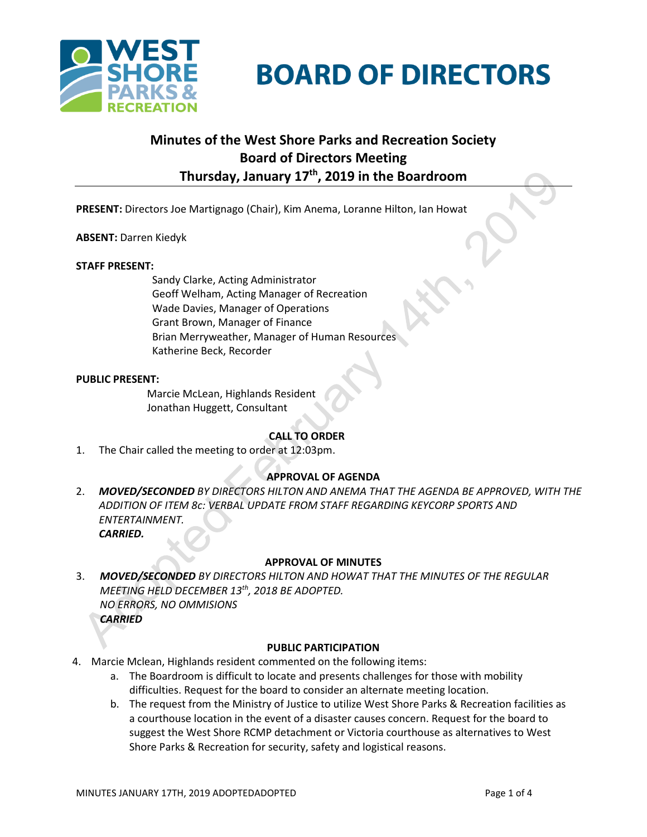

**BOARD OF DIRECTORS** 

# **Minutes of the West Shore Parks and Recreation Society Board of Directors Meeting Thursday, January 17th, 2019 in the Boardroom**

**PRESENT:** Directors Joe Martignago (Chair), Kim Anema, Loranne Hilton, Ian Howat

**ABSENT:** Darren Kiedyk

#### **STAFF PRESENT:**

Sandy Clarke, Acting Administrator Geoff Welham, Acting Manager of Recreation Wade Davies, Manager of Operations Grant Brown, Manager of Finance Brian Merryweather, Manager of Human Resources Katherine Beck, Recorder

## **PUBLIC PRESENT:**

Marcie McLean, Highlands Resident Jonathan Huggett, Consultant

# **CALL TO ORDER**

1. The Chair called the meeting to order at 12:03pm.

# **APPROVAL OF AGENDA**

2. *MOVED/SECONDED BY DIRECTORS HILTON AND ANEMA THAT THE AGENDA BE APPROVED, WITH THE ADDITION OF ITEM 8c: VERBAL UPDATE FROM STAFF REGARDING KEYCORP SPORTS AND ENTERTAINMENT. CARRIED.*

# **APPROVAL OF MINUTES**

3. *MOVED/SECONDED BY DIRECTORS HILTON AND HOWAT THAT THE MINUTES OF THE REGULAR MEETING HELD DECEMBER 13th, 2018 BE ADOPTED. NO ERRORS, NO OMMISIONS CARRIED*

## **PUBLIC PARTICIPATION**

- 4. Marcie Mclean, Highlands resident commented on the following items:
	- a. The Boardroom is difficult to locate and presents challenges for those with mobility difficulties. Request for the board to consider an alternate meeting location.
	- b. The request from the Ministry of Justice to utilize West Shore Parks & Recreation facilities as a courthouse location in the event of a disaster causes concern. Request for the board to suggest the West Shore RCMP detachment or Victoria courthouse as alternatives to West Shore Parks & Recreation for security, safety and logistical reasons.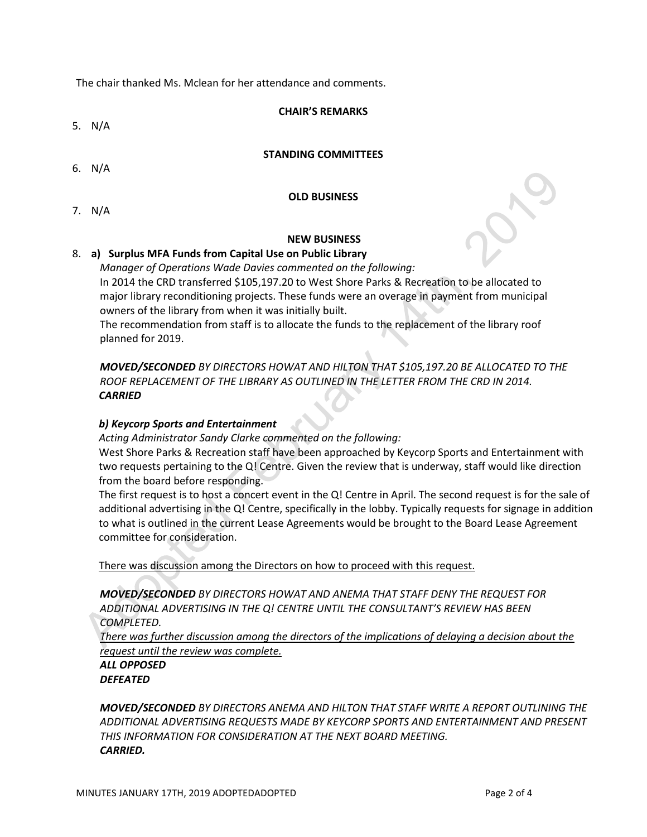The chair thanked Ms. Mclean for her attendance and comments.

#### **CHAIR'S REMARKS**

5. N/A

## **STANDING COMMITTEES**

6. N/A

# **OLD BUSINESS**

7. N/A

#### **NEW BUSINESS**

## 8. **a) Surplus MFA Funds from Capital Use on Public Library**

*Manager of Operations Wade Davies commented on the following:* In 2014 the CRD transferred \$105,197.20 to West Shore Parks & Recreation to be allocated to major library reconditioning projects. These funds were an overage in payment from municipal owners of the library from when it was initially built.

The recommendation from staff is to allocate the funds to the replacement of the library roof planned for 2019.

*MOVED/SECONDED BY DIRECTORS HOWAT AND HILTON THAT \$105,197.20 BE ALLOCATED TO THE ROOF REPLACEMENT OF THE LIBRARY AS OUTLINED IN THE LETTER FROM THE CRD IN 2014. CARRIED*

# *b) Keycorp Sports and Entertainment*

*Acting Administrator Sandy Clarke commented on the following:*

West Shore Parks & Recreation staff have been approached by Keycorp Sports and Entertainment with two requests pertaining to the Q! Centre. Given the review that is underway, staff would like direction from the board before responding.

The first request is to host a concert event in the Q! Centre in April. The second request is for the sale of additional advertising in the Q! Centre, specifically in the lobby. Typically requests for signage in addition to what is outlined in the current Lease Agreements would be brought to the Board Lease Agreement committee for consideration.

There was discussion among the Directors on how to proceed with this request.

*MOVED/SECONDED BY DIRECTORS HOWAT AND ANEMA THAT STAFF DENY THE REQUEST FOR ADDITIONAL ADVERTISING IN THE Q! CENTRE UNTIL THE CONSULTANT'S REVIEW HAS BEEN COMPLETED.*

*There was further discussion among the directors of the implications of delaying a decision about the request until the review was complete.*

*ALL OPPOSED DEFEATED*

*MOVED/SECONDED BY DIRECTORS ANEMA AND HILTON THAT STAFF WRITE A REPORT OUTLINING THE ADDITIONAL ADVERTISING REQUESTS MADE BY KEYCORP SPORTS AND ENTERTAINMENT AND PRESENT THIS INFORMATION FOR CONSIDERATION AT THE NEXT BOARD MEETING. CARRIED.*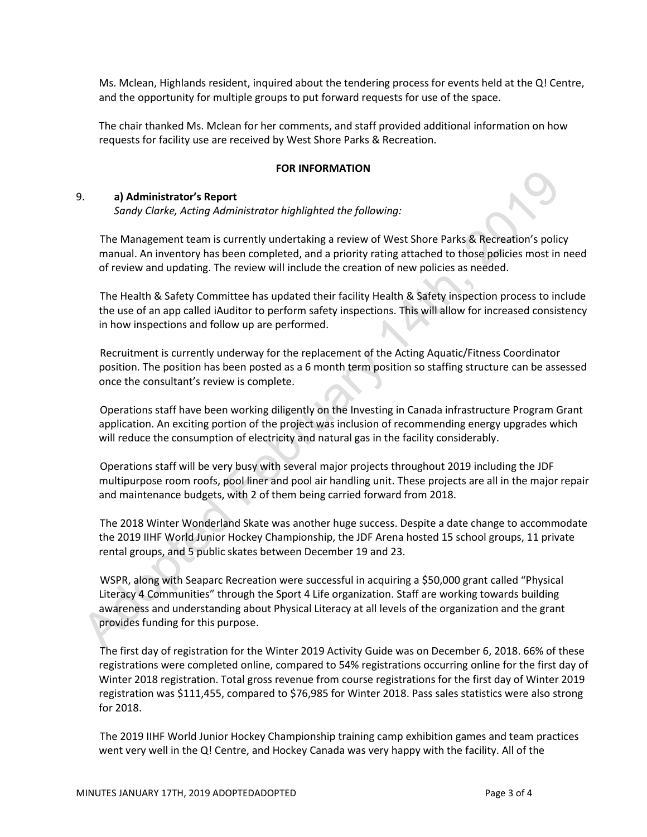Ms. Mclean, Highlands resident, inquired about the tendering process for events held at the Q! Centre, and the opportunity for multiple groups to put forward requests for use of the space.

The chair thanked Ms. Mclean for her comments, and staff provided additional information on how requests for facility use are received by West Shore Parks & Recreation.

## **FOR INFORMATION**

#### 9. **a) Administrator's Report**

*Sandy Clarke, Acting Administrator highlighted the following:*

The Management team is currently undertaking a review of West Shore Parks & Recreation's policy manual. An inventory has been completed, and a priority rating attached to those policies most in need of review and updating. The review will include the creation of new policies as needed.

The Health & Safety Committee has updated their facility Health & Safety inspection process to include the use of an app called iAuditor to perform safety inspections. This will allow for increased consistency in how inspections and follow up are performed.

Recruitment is currently underway for the replacement of the Acting Aquatic/Fitness Coordinator position. The position has been posted as a 6 month term position so staffing structure can be assessed once the consultant's review is complete.

Operations staff have been working diligently on the Investing in Canada infrastructure Program Grant application. An exciting portion of the project was inclusion of recommending energy upgrades which will reduce the consumption of electricity and natural gas in the facility considerably.

Operations staff will be very busy with several major projects throughout 2019 including the JDF multipurpose room roofs, pool liner and pool air handling unit. These projects are all in the major repair and maintenance budgets, with 2 of them being carried forward from 2018.

The 2018 Winter Wonderland Skate was another huge success. Despite a date change to accommodate the 2019 IIHF World Junior Hockey Championship, the JDF Arena hosted 15 school groups, 11 private rental groups, and 5 public skates between December 19 and 23.

WSPR, along with Seaparc Recreation were successful in acquiring a \$50,000 grant called "Physical Literacy 4 Communities" through the Sport 4 Life organization. Staff are working towards building awareness and understanding about Physical Literacy at all levels of the organization and the grant provides funding for this purpose.

The first day of registration for the Winter 2019 Activity Guide was on December 6, 2018. 66% of these registrations were completed online, compared to 54% registrations occurring online for the first day of Winter 2018 registration. Total gross revenue from course registrations for the first day of Winter 2019 registration was \$111,455, compared to \$76,985 for Winter 2018. Pass sales statistics were also strong for 2018.

The 2019 IIHF World Junior Hockey Championship training camp exhibition games and team practices went very well in the Q! Centre, and Hockey Canada was very happy with the facility. All of the